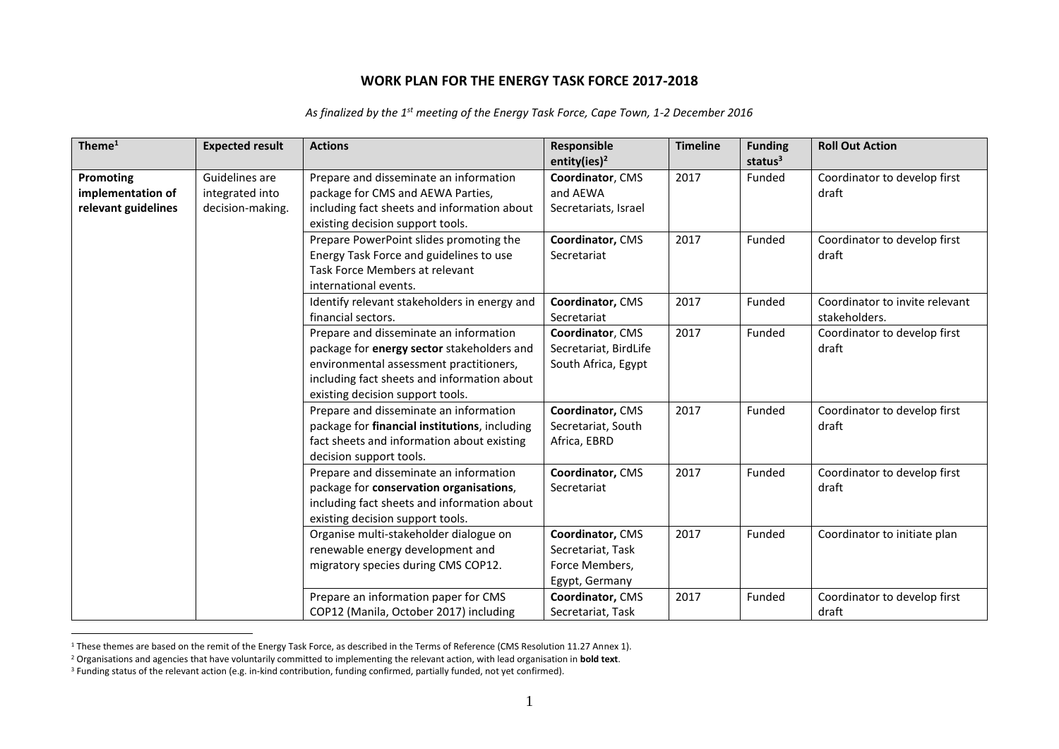## **WORK PLAN FOR THE ENERGY TASK FORCE 2017-2018**

| Theme <sup>1</sup>  | <b>Expected result</b> | <b>Actions</b>                                | Responsible              | <b>Timeline</b> | <b>Funding</b> | <b>Roll Out Action</b>         |
|---------------------|------------------------|-----------------------------------------------|--------------------------|-----------------|----------------|--------------------------------|
|                     |                        |                                               | entity(ies) <sup>2</sup> |                 | status $3$     |                                |
| Promoting           | Guidelines are         | Prepare and disseminate an information        | Coordinator, CMS         | 2017            | Funded         | Coordinator to develop first   |
| implementation of   | integrated into        | package for CMS and AEWA Parties,             | and AEWA                 |                 |                | draft                          |
| relevant guidelines | decision-making.       | including fact sheets and information about   | Secretariats, Israel     |                 |                |                                |
|                     |                        | existing decision support tools.              |                          |                 |                |                                |
|                     |                        | Prepare PowerPoint slides promoting the       | Coordinator, CMS         | 2017            | Funded         | Coordinator to develop first   |
|                     |                        | Energy Task Force and guidelines to use       | Secretariat              |                 |                | draft                          |
|                     |                        | Task Force Members at relevant                |                          |                 |                |                                |
|                     |                        | international events.                         |                          |                 |                |                                |
|                     |                        | Identify relevant stakeholders in energy and  | Coordinator, CMS         | 2017            | Funded         | Coordinator to invite relevant |
|                     |                        | financial sectors.                            | Secretariat              |                 |                | stakeholders.                  |
|                     |                        | Prepare and disseminate an information        | Coordinator, CMS         | 2017            | Funded         | Coordinator to develop first   |
|                     |                        | package for energy sector stakeholders and    | Secretariat, BirdLife    |                 |                | draft                          |
|                     |                        | environmental assessment practitioners,       | South Africa, Egypt      |                 |                |                                |
|                     |                        | including fact sheets and information about   |                          |                 |                |                                |
|                     |                        | existing decision support tools.              |                          |                 |                |                                |
|                     |                        | Prepare and disseminate an information        | Coordinator, CMS         | 2017            | Funded         | Coordinator to develop first   |
|                     |                        | package for financial institutions, including | Secretariat, South       |                 |                | draft                          |
|                     |                        | fact sheets and information about existing    | Africa, EBRD             |                 |                |                                |
|                     |                        | decision support tools.                       |                          |                 |                |                                |
|                     |                        | Prepare and disseminate an information        | Coordinator, CMS         | 2017            | Funded         | Coordinator to develop first   |
|                     |                        | package for conservation organisations,       | Secretariat              |                 |                | draft                          |
|                     |                        | including fact sheets and information about   |                          |                 |                |                                |
|                     |                        | existing decision support tools.              |                          |                 |                |                                |
|                     |                        | Organise multi-stakeholder dialogue on        | Coordinator, CMS         | 2017            | Funded         | Coordinator to initiate plan   |
|                     |                        | renewable energy development and              | Secretariat, Task        |                 |                |                                |
|                     |                        | migratory species during CMS COP12.           | Force Members,           |                 |                |                                |
|                     |                        |                                               | Egypt, Germany           |                 |                |                                |
|                     |                        | Prepare an information paper for CMS          | Coordinator, CMS         | 2017            | Funded         | Coordinator to develop first   |
|                     |                        | COP12 (Manila, October 2017) including        | Secretariat, Task        |                 |                | draft                          |

*As finalized by the 1st meeting of the Energy Task Force, Cape Town, 1-2 December 2016*

 $\overline{a}$ <sup>1</sup> These themes are based on the remit of the Energy Task Force, as described in the Terms of Reference (CMS Resolution 11.27 Annex 1).

<sup>2</sup> Organisations and agencies that have voluntarily committed to implementing the relevant action, with lead organisation in **bold text**.

<sup>&</sup>lt;sup>3</sup> Funding status of the relevant action (e.g. in-kind contribution, funding confirmed, partially funded, not yet confirmed).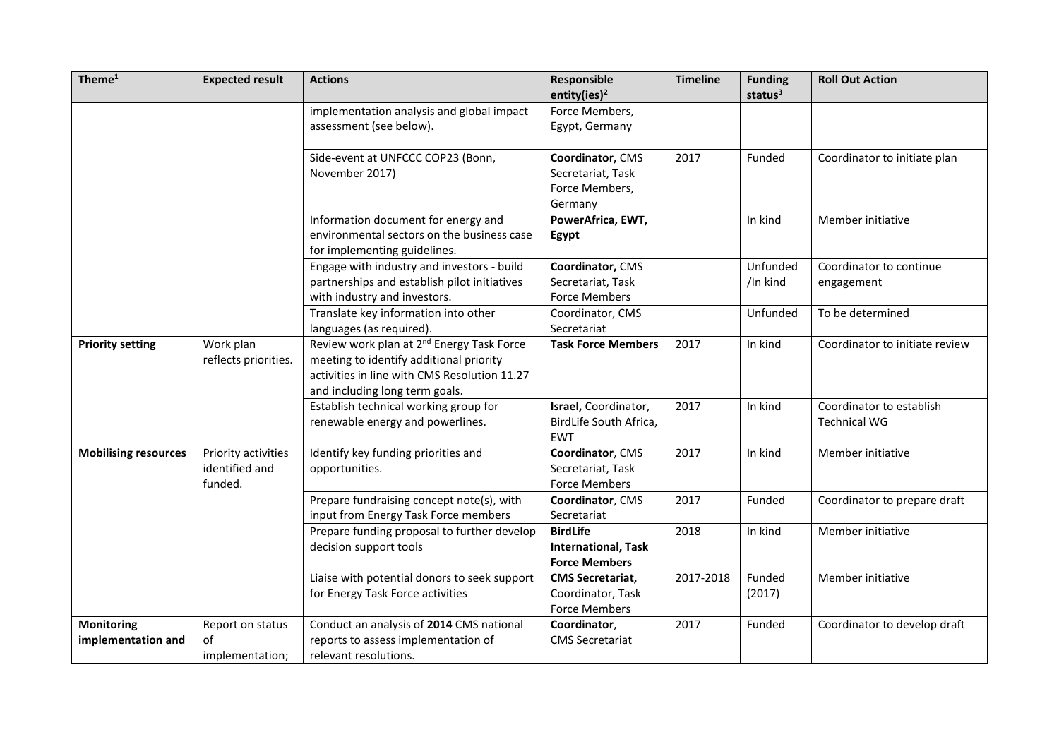| Theme $1$                               | <b>Expected result</b>                           | <b>Actions</b>                                                                                                                                                                     | Responsible<br>entity(ies) <sup>2</sup>                               | <b>Timeline</b> | <b>Funding</b><br>status <sup>3</sup> | <b>Roll Out Action</b>                          |
|-----------------------------------------|--------------------------------------------------|------------------------------------------------------------------------------------------------------------------------------------------------------------------------------------|-----------------------------------------------------------------------|-----------------|---------------------------------------|-------------------------------------------------|
|                                         |                                                  | implementation analysis and global impact<br>assessment (see below).                                                                                                               | Force Members,<br>Egypt, Germany                                      |                 |                                       |                                                 |
|                                         |                                                  | Side-event at UNFCCC COP23 (Bonn,<br>November 2017)                                                                                                                                | Coordinator, CMS<br>Secretariat, Task<br>Force Members,<br>Germany    | 2017            | Funded                                | Coordinator to initiate plan                    |
|                                         |                                                  | Information document for energy and<br>environmental sectors on the business case<br>for implementing guidelines.                                                                  | PowerAfrica, EWT,<br>Egypt                                            |                 | In kind                               | Member initiative                               |
|                                         |                                                  | Engage with industry and investors - build<br>partnerships and establish pilot initiatives<br>with industry and investors.                                                         | Coordinator, CMS<br>Secretariat, Task<br><b>Force Members</b>         |                 | Unfunded<br>/In kind                  | Coordinator to continue<br>engagement           |
|                                         |                                                  | Translate key information into other<br>languages (as required).                                                                                                                   | Coordinator, CMS<br>Secretariat                                       |                 | Unfunded                              | To be determined                                |
| <b>Priority setting</b>                 | Work plan<br>reflects priorities.                | Review work plan at 2 <sup>nd</sup> Energy Task Force<br>meeting to identify additional priority<br>activities in line with CMS Resolution 11.27<br>and including long term goals. | <b>Task Force Members</b>                                             | 2017            | In kind                               | Coordinator to initiate review                  |
|                                         |                                                  | Establish technical working group for<br>renewable energy and powerlines.                                                                                                          | Israel, Coordinator,<br>BirdLife South Africa,<br><b>EWT</b>          | 2017            | In kind                               | Coordinator to establish<br><b>Technical WG</b> |
| <b>Mobilising resources</b>             | Priority activities<br>identified and<br>funded. | Identify key funding priorities and<br>opportunities.                                                                                                                              | Coordinator, CMS<br>Secretariat, Task<br><b>Force Members</b>         | 2017            | In kind                               | Member initiative                               |
|                                         |                                                  | Prepare fundraising concept note(s), with<br>input from Energy Task Force members                                                                                                  | Coordinator, CMS<br>Secretariat                                       | 2017            | Funded                                | Coordinator to prepare draft                    |
|                                         |                                                  | Prepare funding proposal to further develop<br>decision support tools                                                                                                              | <b>BirdLife</b><br><b>International, Task</b><br><b>Force Members</b> | 2018            | In kind                               | Member initiative                               |
|                                         |                                                  | Liaise with potential donors to seek support<br>for Energy Task Force activities                                                                                                   | <b>CMS Secretariat,</b><br>Coordinator, Task<br><b>Force Members</b>  | 2017-2018       | Funded<br>(2017)                      | Member initiative                               |
| <b>Monitoring</b><br>implementation and | Report on status<br>of<br>implementation;        | Conduct an analysis of 2014 CMS national<br>reports to assess implementation of<br>relevant resolutions.                                                                           | Coordinator,<br><b>CMS Secretariat</b>                                | 2017            | Funded                                | Coordinator to develop draft                    |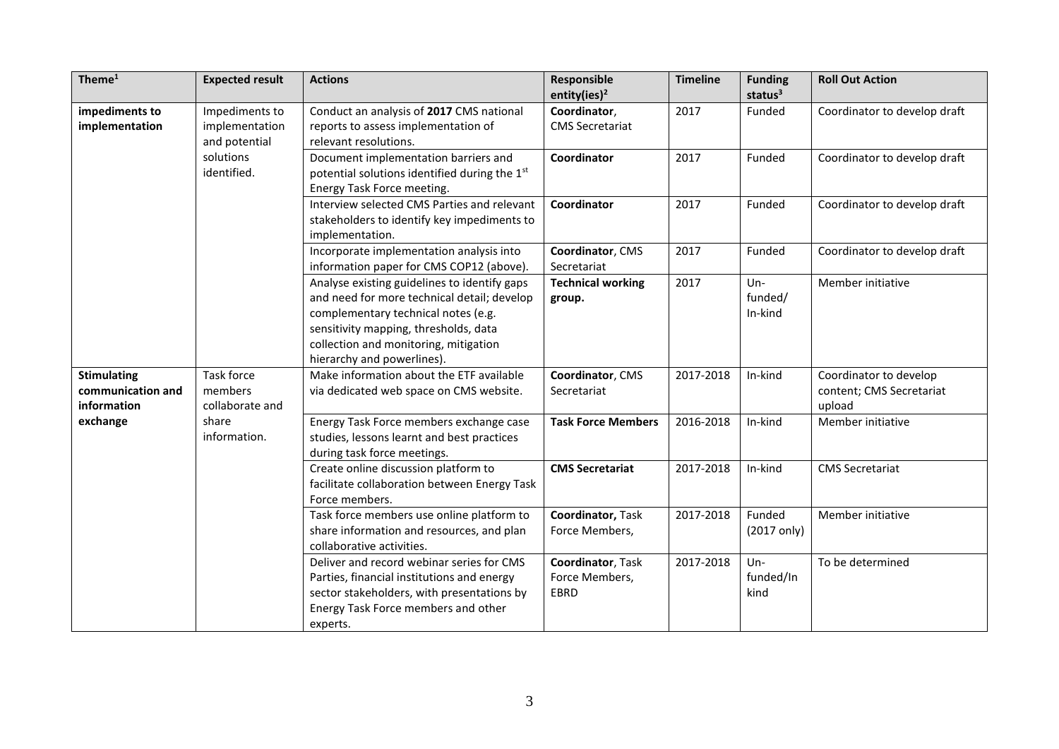| Theme $1$                                              | <b>Expected result</b>                                                        | <b>Actions</b>                                                                                                                                                                                                                                     | Responsible<br>entity(ies) <sup>2</sup>     | <b>Timeline</b> | <b>Funding</b><br>status <sup>3</sup> | <b>Roll Out Action</b>                                       |
|--------------------------------------------------------|-------------------------------------------------------------------------------|----------------------------------------------------------------------------------------------------------------------------------------------------------------------------------------------------------------------------------------------------|---------------------------------------------|-----------------|---------------------------------------|--------------------------------------------------------------|
| impediments to<br>implementation                       | Impediments to<br>implementation<br>and potential<br>solutions<br>identified. | Conduct an analysis of 2017 CMS national<br>reports to assess implementation of<br>relevant resolutions.                                                                                                                                           | Coordinator,<br><b>CMS Secretariat</b>      | 2017            | Funded                                | Coordinator to develop draft                                 |
|                                                        |                                                                               | Document implementation barriers and<br>potential solutions identified during the 1st<br>Energy Task Force meeting.                                                                                                                                | Coordinator                                 | 2017            | Funded                                | Coordinator to develop draft                                 |
|                                                        |                                                                               | Interview selected CMS Parties and relevant<br>stakeholders to identify key impediments to<br>implementation.                                                                                                                                      | Coordinator                                 | 2017            | Funded                                | Coordinator to develop draft                                 |
|                                                        |                                                                               | Incorporate implementation analysis into<br>information paper for CMS COP12 (above).                                                                                                                                                               | Coordinator, CMS<br>Secretariat             | 2017            | Funded                                | Coordinator to develop draft                                 |
|                                                        |                                                                               | Analyse existing guidelines to identify gaps<br>and need for more technical detail; develop<br>complementary technical notes (e.g.<br>sensitivity mapping, thresholds, data<br>collection and monitoring, mitigation<br>hierarchy and powerlines). | <b>Technical working</b><br>group.          | 2017            | $Un-$<br>funded/<br>In-kind           | Member initiative                                            |
| <b>Stimulating</b><br>communication and<br>information | <b>Task force</b><br>members<br>collaborate and                               | Make information about the ETF available<br>via dedicated web space on CMS website.                                                                                                                                                                | Coordinator, CMS<br>Secretariat             | 2017-2018       | In-kind                               | Coordinator to develop<br>content; CMS Secretariat<br>upload |
| exchange                                               | share<br>information.                                                         | Energy Task Force members exchange case<br>studies, lessons learnt and best practices<br>during task force meetings.                                                                                                                               | <b>Task Force Members</b>                   | 2016-2018       | In-kind                               | Member initiative                                            |
|                                                        |                                                                               | Create online discussion platform to<br>facilitate collaboration between Energy Task<br>Force members.                                                                                                                                             | <b>CMS Secretariat</b>                      | 2017-2018       | In-kind                               | <b>CMS Secretariat</b>                                       |
|                                                        |                                                                               | Task force members use online platform to<br>share information and resources, and plan<br>collaborative activities.                                                                                                                                | Coordinator, Task<br>Force Members,         | 2017-2018       | Funded<br>(2017 only)                 | Member initiative                                            |
|                                                        |                                                                               | Deliver and record webinar series for CMS<br>Parties, financial institutions and energy<br>sector stakeholders, with presentations by<br>Energy Task Force members and other<br>experts.                                                           | Coordinator, Task<br>Force Members,<br>EBRD | 2017-2018       | $Un -$<br>funded/In<br>kind           | To be determined                                             |